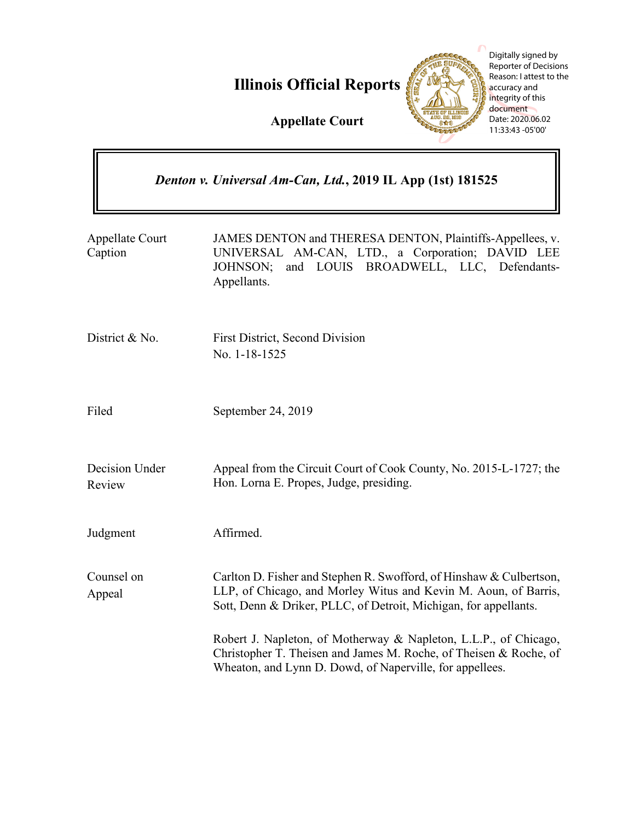**Illinois Official Reports**



Digitally signed by Reporter of Decisions Reason: I attest to the accuracy and integrity of this document Date: 2020.06.02 11:33:43 -05'00'

**Appellate Court**

|                                   | Denton v. Universal Am-Can, Ltd., 2019 IL App (1st) 181525                                                                                                                                                 |
|-----------------------------------|------------------------------------------------------------------------------------------------------------------------------------------------------------------------------------------------------------|
| <b>Appellate Court</b><br>Caption | JAMES DENTON and THERESA DENTON, Plaintiffs-Appellees, v.<br>UNIVERSAL AM-CAN, LTD., a Corporation; DAVID LEE<br>and LOUIS BROADWELL, LLC, Defendants-<br>JOHNSON;<br>Appellants.                          |
| District & No.                    | <b>First District, Second Division</b><br>No. 1-18-1525                                                                                                                                                    |
| Filed                             | September 24, 2019                                                                                                                                                                                         |
| Decision Under<br>Review          | Appeal from the Circuit Court of Cook County, No. 2015-L-1727; the<br>Hon. Lorna E. Propes, Judge, presiding.                                                                                              |
| Judgment                          | Affirmed.                                                                                                                                                                                                  |
| Counsel on<br>Appeal              | Carlton D. Fisher and Stephen R. Swofford, of Hinshaw & Culbertson,<br>LLP, of Chicago, and Morley Witus and Kevin M. Aoun, of Barris,<br>Sott, Denn & Driker, PLLC, of Detroit, Michigan, for appellants. |
|                                   | Robert J. Napleton, of Motherway & Napleton, L.L.P., of Chicago,<br>Christopher T. Theisen and James M. Roche, of Theisen & Roche, of<br>Wheaton, and Lynn D. Dowd, of Naperville, for appellees.          |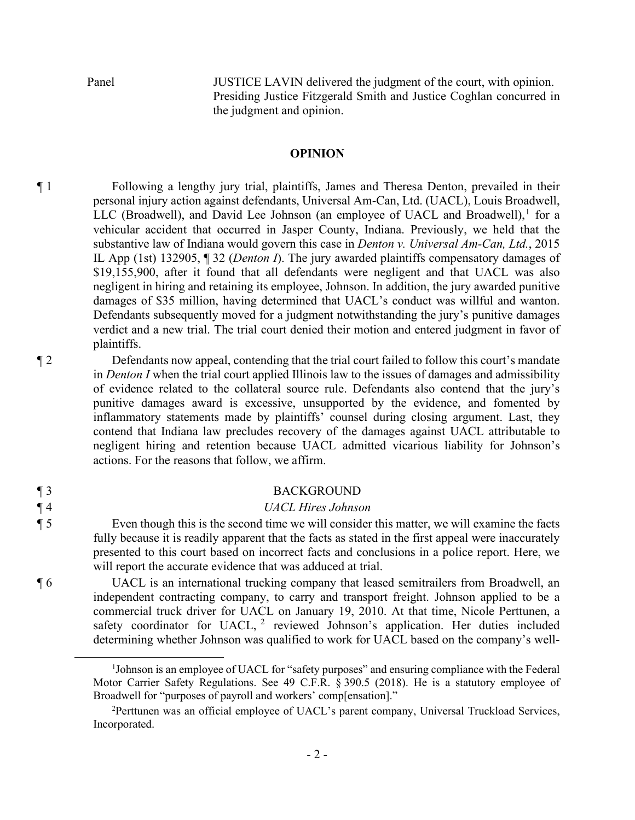Panel JUSTICE LAVIN delivered the judgment of the court, with opinion. Presiding Justice Fitzgerald Smith and Justice Coghlan concurred in the judgment and opinion.

#### **OPINION**

¶ 1 Following a lengthy jury trial, plaintiffs, James and Theresa Denton, prevailed in their personal injury action against defendants, Universal Am-Can, Ltd. (UACL), Louis Broadwell, LLC (Broadwell), and David Lee Johnson (an employee of UACL and Broadwell),<sup>1</sup> for a vehicular accident that occurred in Jasper County, Indiana. Previously, we held that the substantive law of Indiana would govern this case in *Denton v. Universal Am-Can, Ltd.*, 2015 IL App (1st) 132905, ¶ 32 (*Denton I*). The jury awarded plaintiffs compensatory damages of \$19,155,900, after it found that all defendants were negligent and that UACL was also negligent in hiring and retaining its employee, Johnson. In addition, the jury awarded punitive damages of \$35 million, having determined that UACL's conduct was willful and wanton. Defendants subsequently moved for a judgment notwithstanding the jury's punitive damages verdict and a new trial. The trial court denied their motion and entered judgment in favor of plaintiffs.

¶ 2 Defendants now appeal, contending that the trial court failed to follow this court's mandate in *Denton I* when the trial court applied Illinois law to the issues of damages and admissibility of evidence related to the collateral source rule. Defendants also contend that the jury's punitive damages award is excessive, unsupported by the evidence, and fomented by inflammatory statements made by plaintiffs' counsel during closing argument. Last, they contend that Indiana law precludes recovery of the damages against UACL attributable to negligent hiring and retention because UACL admitted vicarious liability for Johnson's actions. For the reasons that follow, we affirm.

#### ¶ 3 BACKGROUND

#### ¶ 4 *UACL Hires Johnson*

¶ 5 Even though this is the second time we will consider this matter, we will examine the facts fully because it is readily apparent that the facts as stated in the first appeal were inaccurately presented to this court based on incorrect facts and conclusions in a police report. Here, we will report the accurate evidence that was adduced at trial.

¶ 6 UACL is an international trucking company that leased semitrailers from Broadwell, an independent contracting company, to carry and transport freight. Johnson applied to be a commercial truck driver for UACL on January 19, 2010. At that time, Nicole Perttunen, a safety coordinator for UACL,  $2$  reviewed Johnson's application. Her duties included determining whether Johnson was qualified to work for UACL based on the company's well-

<sup>&</sup>lt;sup>1</sup>Johnson is an employee of UACL for "safety purposes" and ensuring compliance with the Federal Motor Carrier Safety Regulations. See 49 C.F.R. § 390.5 (2018). He is a statutory employee of Broadwell for "purposes of payroll and workers' comp[ensation]."

<sup>&</sup>lt;sup>2</sup>Perttunen was an official employee of UACL's parent company, Universal Truckload Services, Incorporated.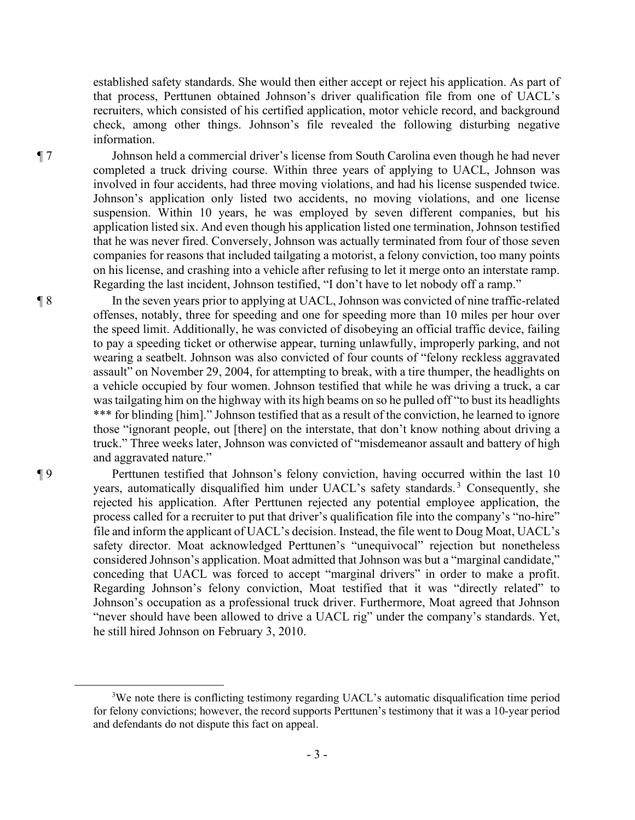established safety standards. She would then either accept or reject his application. As part of that process, Perttunen obtained Johnson's driver qualification file from one of UACL's recruiters, which consisted of his certified application, motor vehicle record, and background check, among other things. Johnson's file revealed the following disturbing negative information.

¶ 7 Johnson held a commercial driver's license from South Carolina even though he had never completed a truck driving course. Within three years of applying to UACL, Johnson was involved in four accidents, had three moving violations, and had his license suspended twice. Johnson's application only listed two accidents, no moving violations, and one license suspension. Within 10 years, he was employed by seven different companies, but his application listed six. And even though his application listed one termination, Johnson testified that he was never fired. Conversely, Johnson was actually terminated from four of those seven companies for reasons that included tailgating a motorist, a felony conviction, too many points on his license, and crashing into a vehicle after refusing to let it merge onto an interstate ramp. Regarding the last incident, Johnson testified, "I don't have to let nobody off a ramp."

¶ 8 In the seven years prior to applying at UACL, Johnson was convicted of nine traffic-related offenses, notably, three for speeding and one for speeding more than 10 miles per hour over the speed limit. Additionally, he was convicted of disobeying an official traffic device, failing to pay a speeding ticket or otherwise appear, turning unlawfully, improperly parking, and not wearing a seatbelt. Johnson was also convicted of four counts of "felony reckless aggravated assault" on November 29, 2004, for attempting to break, with a tire thumper, the headlights on a vehicle occupied by four women. Johnson testified that while he was driving a truck, a car was tailgating him on the highway with its high beams on so he pulled off "to bust its headlights \*\*\* for blinding [him]." Johnson testified that as a result of the conviction, he learned to ignore those "ignorant people, out [there] on the interstate, that don't know nothing about driving a truck." Three weeks later, Johnson was convicted of "misdemeanor assault and battery of high and aggravated nature."

¶ 9 Perttunen testified that Johnson's felony conviction, having occurred within the last 10 years, automatically disqualified him under UACL's safety standards.<sup>3</sup> Consequently, she rejected his application. After Perttunen rejected any potential employee application, the process called for a recruiter to put that driver's qualification file into the company's "no-hire" file and inform the applicant of UACL's decision. Instead, the file went to Doug Moat, UACL's safety director. Moat acknowledged Perttunen's "unequivocal" rejection but nonetheless considered Johnson's application. Moat admitted that Johnson was but a "marginal candidate," conceding that UACL was forced to accept "marginal drivers" in order to make a profit. Regarding Johnson's felony conviction, Moat testified that it was "directly related" to Johnson's occupation as a professional truck driver. Furthermore, Moat agreed that Johnson "never should have been allowed to drive a UACL rig" under the company's standards. Yet, he still hired Johnson on February 3, 2010.

<sup>&</sup>lt;sup>3</sup>We note there is conflicting testimony regarding UACL's automatic disqualification time period for felony convictions; however, the record supports Perttunen's testimony that it was a 10-year period and defendants do not dispute this fact on appeal.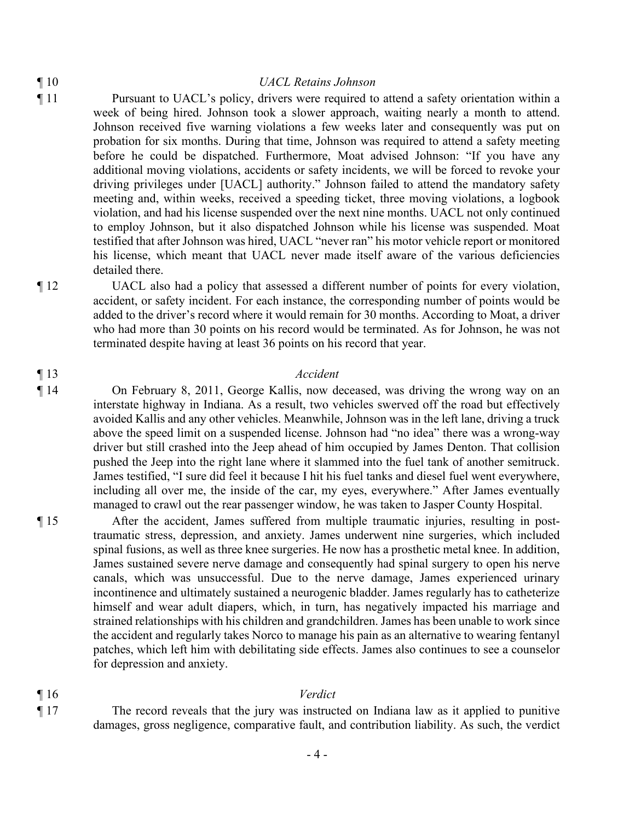#### ¶ 10 *UACL Retains Johnson*

- ¶ 11 Pursuant to UACL's policy, drivers were required to attend a safety orientation within a week of being hired. Johnson took a slower approach, waiting nearly a month to attend. Johnson received five warning violations a few weeks later and consequently was put on probation for six months. During that time, Johnson was required to attend a safety meeting before he could be dispatched. Furthermore, Moat advised Johnson: "If you have any additional moving violations, accidents or safety incidents, we will be forced to revoke your driving privileges under [UACL] authority." Johnson failed to attend the mandatory safety meeting and, within weeks, received a speeding ticket, three moving violations, a logbook violation, and had his license suspended over the next nine months. UACL not only continued to employ Johnson, but it also dispatched Johnson while his license was suspended. Moat testified that after Johnson was hired, UACL "never ran" his motor vehicle report or monitored his license, which meant that UACL never made itself aware of the various deficiencies detailed there.
- ¶ 12 UACL also had a policy that assessed a different number of points for every violation, accident, or safety incident. For each instance, the corresponding number of points would be added to the driver's record where it would remain for 30 months. According to Moat, a driver who had more than 30 points on his record would be terminated. As for Johnson, he was not terminated despite having at least 36 points on his record that year.

#### ¶ 13 *Accident*

¶ 14 On February 8, 2011, George Kallis, now deceased, was driving the wrong way on an interstate highway in Indiana. As a result, two vehicles swerved off the road but effectively avoided Kallis and any other vehicles. Meanwhile, Johnson was in the left lane, driving a truck above the speed limit on a suspended license. Johnson had "no idea" there was a wrong-way driver but still crashed into the Jeep ahead of him occupied by James Denton. That collision pushed the Jeep into the right lane where it slammed into the fuel tank of another semitruck. James testified, "I sure did feel it because I hit his fuel tanks and diesel fuel went everywhere, including all over me, the inside of the car, my eyes, everywhere." After James eventually managed to crawl out the rear passenger window, he was taken to Jasper County Hospital.

¶ 15 After the accident, James suffered from multiple traumatic injuries, resulting in posttraumatic stress, depression, and anxiety. James underwent nine surgeries, which included spinal fusions, as well as three knee surgeries. He now has a prosthetic metal knee. In addition, James sustained severe nerve damage and consequently had spinal surgery to open his nerve canals, which was unsuccessful. Due to the nerve damage, James experienced urinary incontinence and ultimately sustained a neurogenic bladder. James regularly has to catheterize himself and wear adult diapers, which, in turn, has negatively impacted his marriage and strained relationships with his children and grandchildren. James has been unable to work since the accident and regularly takes Norco to manage his pain as an alternative to wearing fentanyl patches, which left him with debilitating side effects. James also continues to see a counselor for depression and anxiety.

# ¶ 16 *Verdict*

¶ 17 The record reveals that the jury was instructed on Indiana law as it applied to punitive damages, gross negligence, comparative fault, and contribution liability. As such, the verdict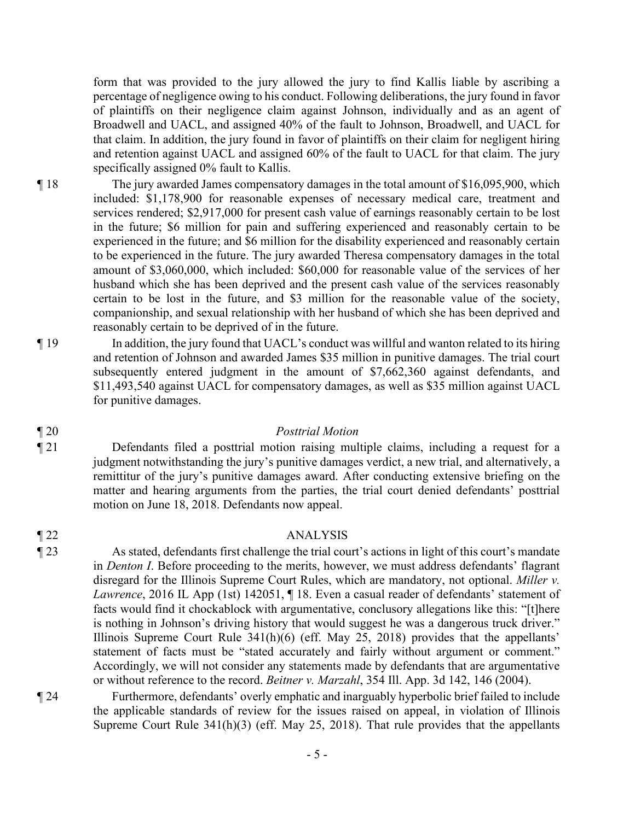form that was provided to the jury allowed the jury to find Kallis liable by ascribing a percentage of negligence owing to his conduct. Following deliberations, the jury found in favor of plaintiffs on their negligence claim against Johnson, individually and as an agent of Broadwell and UACL, and assigned 40% of the fault to Johnson, Broadwell, and UACL for that claim. In addition, the jury found in favor of plaintiffs on their claim for negligent hiring and retention against UACL and assigned 60% of the fault to UACL for that claim. The jury specifically assigned 0% fault to Kallis.

¶ 18 The jury awarded James compensatory damages in the total amount of \$16,095,900, which included: \$1,178,900 for reasonable expenses of necessary medical care, treatment and services rendered; \$2,917,000 for present cash value of earnings reasonably certain to be lost in the future; \$6 million for pain and suffering experienced and reasonably certain to be experienced in the future; and \$6 million for the disability experienced and reasonably certain to be experienced in the future. The jury awarded Theresa compensatory damages in the total amount of \$3,060,000, which included: \$60,000 for reasonable value of the services of her husband which she has been deprived and the present cash value of the services reasonably certain to be lost in the future, and \$3 million for the reasonable value of the society, companionship, and sexual relationship with her husband of which she has been deprived and reasonably certain to be deprived of in the future.

¶ 19 In addition, the jury found that UACL's conduct was willful and wanton related to its hiring and retention of Johnson and awarded James \$35 million in punitive damages. The trial court subsequently entered judgment in the amount of \$7,662,360 against defendants, and \$11,493,540 against UACL for compensatory damages, as well as \$35 million against UACL for punitive damages.

#### ¶ 20 *Posttrial Motion*

¶ 21 Defendants filed a posttrial motion raising multiple claims, including a request for a judgment notwithstanding the jury's punitive damages verdict, a new trial, and alternatively, a remittitur of the jury's punitive damages award. After conducting extensive briefing on the matter and hearing arguments from the parties, the trial court denied defendants' posttrial motion on June 18, 2018. Defendants now appeal.

#### ¶ 22 ANALYSIS

¶ 23 As stated, defendants first challenge the trial court's actions in light of this court's mandate in *Denton I*. Before proceeding to the merits, however, we must address defendants' flagrant disregard for the Illinois Supreme Court Rules, which are mandatory, not optional. *Miller v. Lawrence*, 2016 IL App (1st) 142051, ¶ 18. Even a casual reader of defendants' statement of facts would find it chockablock with argumentative, conclusory allegations like this: "[t]here is nothing in Johnson's driving history that would suggest he was a dangerous truck driver." Illinois Supreme Court Rule 341(h)(6) (eff. May 25, 2018) provides that the appellants' statement of facts must be "stated accurately and fairly without argument or comment." Accordingly, we will not consider any statements made by defendants that are argumentative or without reference to the record. *Beitner v. Marzahl*, 354 Ill. App. 3d 142, 146 (2004).

¶ 24 Furthermore, defendants' overly emphatic and inarguably hyperbolic brief failed to include the applicable standards of review for the issues raised on appeal, in violation of Illinois Supreme Court Rule 341(h)(3) (eff. May 25, 2018). That rule provides that the appellants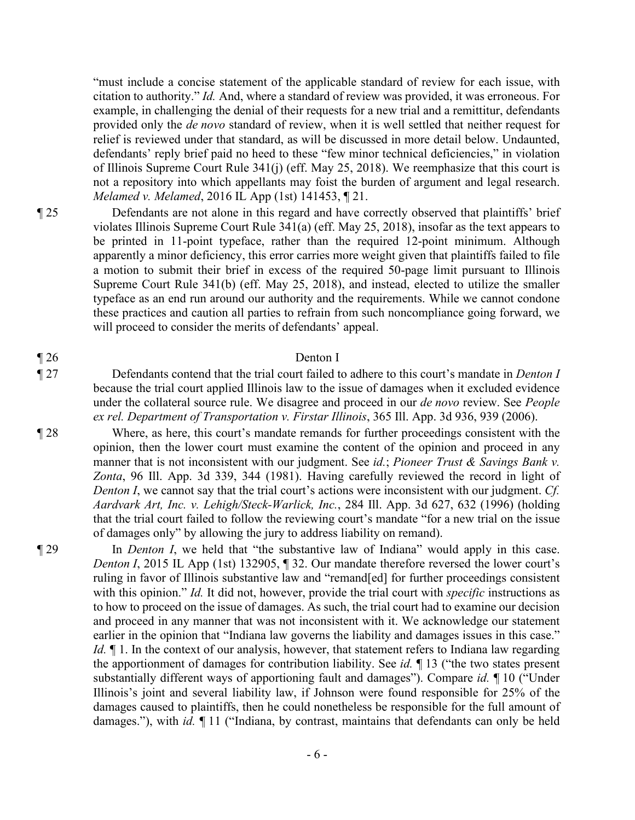"must include a concise statement of the applicable standard of review for each issue, with citation to authority." *Id.* And, where a standard of review was provided, it was erroneous. For example, in challenging the denial of their requests for a new trial and a remittitur, defendants provided only the *de novo* standard of review, when it is well settled that neither request for relief is reviewed under that standard, as will be discussed in more detail below. Undaunted, defendants' reply brief paid no heed to these "few minor technical deficiencies," in violation of Illinois Supreme Court Rule 341(j) (eff. May 25, 2018). We reemphasize that this court is not a repository into which appellants may foist the burden of argument and legal research. *Melamed v. Melamed*, 2016 IL App (1st) 141453, ¶ 21.

¶ 25 Defendants are not alone in this regard and have correctly observed that plaintiffs' brief violates Illinois Supreme Court Rule 341(a) (eff. May 25, 2018), insofar as the text appears to be printed in 11-point typeface, rather than the required 12-point minimum. Although apparently a minor deficiency, this error carries more weight given that plaintiffs failed to file a motion to submit their brief in excess of the required 50-page limit pursuant to Illinois Supreme Court Rule 341(b) (eff. May 25, 2018), and instead, elected to utilize the smaller typeface as an end run around our authority and the requirements. While we cannot condone these practices and caution all parties to refrain from such noncompliance going forward, we will proceed to consider the merits of defendants' appeal.

¶ 26 Denton I

¶ 27 Defendants contend that the trial court failed to adhere to this court's mandate in *Denton I* because the trial court applied Illinois law to the issue of damages when it excluded evidence under the collateral source rule. We disagree and proceed in our *de novo* review. See *People ex rel. Department of Transportation v. Firstar Illinois*, 365 Ill. App. 3d 936, 939 (2006).

¶ 28 Where, as here, this court's mandate remands for further proceedings consistent with the opinion, then the lower court must examine the content of the opinion and proceed in any manner that is not inconsistent with our judgment. See *id.*; *Pioneer Trust & Savings Bank v. Zonta*, 96 Ill. App. 3d 339, 344 (1981). Having carefully reviewed the record in light of *Denton I*, we cannot say that the trial court's actions were inconsistent with our judgment. *Cf. Aardvark Art, Inc. v. Lehigh/Steck-Warlick, Inc.*, 284 Ill. App. 3d 627, 632 (1996) (holding that the trial court failed to follow the reviewing court's mandate "for a new trial on the issue of damages only" by allowing the jury to address liability on remand).

¶ 29 In *Denton I*, we held that "the substantive law of Indiana" would apply in this case. *Denton I*, 2015 IL App (1st) 132905, 1 32. Our mandate therefore reversed the lower court's ruling in favor of Illinois substantive law and "remand[ed] for further proceedings consistent with this opinion." *Id.* It did not, however, provide the trial court with *specific* instructions as to how to proceed on the issue of damages. As such, the trial court had to examine our decision and proceed in any manner that was not inconsistent with it. We acknowledge our statement earlier in the opinion that "Indiana law governs the liability and damages issues in this case." *Id.*  $\blacksquare$  1. In the context of our analysis, however, that statement refers to Indiana law regarding the apportionment of damages for contribution liability. See *id.* ¶ 13 ("the two states present substantially different ways of apportioning fault and damages"). Compare *id.* ¶ 10 ("Under Illinois's joint and several liability law, if Johnson were found responsible for 25% of the damages caused to plaintiffs, then he could nonetheless be responsible for the full amount of damages."), with *id.* ¶ 11 ("Indiana, by contrast, maintains that defendants can only be held

- 6 -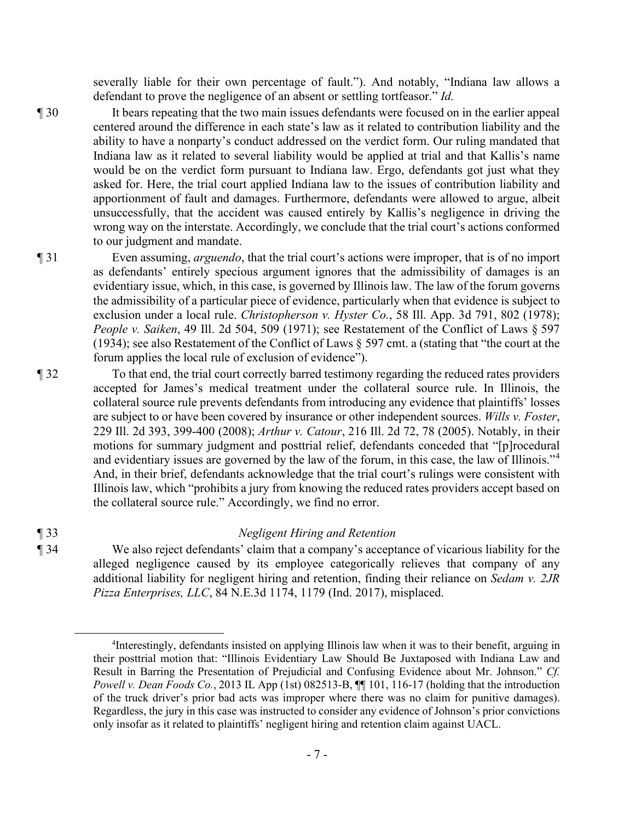severally liable for their own percentage of fault."). And notably, "Indiana law allows a defendant to prove the negligence of an absent or settling tortfeasor." *Id.*

¶ 30 It bears repeating that the two main issues defendants were focused on in the earlier appeal centered around the difference in each state's law as it related to contribution liability and the ability to have a nonparty's conduct addressed on the verdict form. Our ruling mandated that Indiana law as it related to several liability would be applied at trial and that Kallis's name would be on the verdict form pursuant to Indiana law. Ergo, defendants got just what they asked for. Here, the trial court applied Indiana law to the issues of contribution liability and apportionment of fault and damages. Furthermore, defendants were allowed to argue, albeit unsuccessfully, that the accident was caused entirely by Kallis's negligence in driving the wrong way on the interstate. Accordingly, we conclude that the trial court's actions conformed to our judgment and mandate.

¶ 31 Even assuming, *arguendo*, that the trial court's actions were improper, that is of no import as defendants' entirely specious argument ignores that the admissibility of damages is an evidentiary issue, which, in this case, is governed by Illinois law. The law of the forum governs the admissibility of a particular piece of evidence, particularly when that evidence is subject to exclusion under a local rule. *Christopherson v. Hyster Co.*, 58 Ill. App. 3d 791, 802 (1978); *People v. Saiken*, 49 Ill. 2d 504, 509 (1971); see Restatement of the Conflict of Laws § 597 (1934); see also Restatement of the Conflict of Laws § 597 cmt. a (stating that "the court at the forum applies the local rule of exclusion of evidence").

¶ 32 To that end, the trial court correctly barred testimony regarding the reduced rates providers accepted for James's medical treatment under the collateral source rule. In Illinois, the collateral source rule prevents defendants from introducing any evidence that plaintiffs' losses are subject to or have been covered by insurance or other independent sources. *Wills v. Foster*, 229 Ill. 2d 393, 399-400 (2008); *Arthur v. Catour*, 216 Ill. 2d 72, 78 (2005). Notably, in their motions for summary judgment and posttrial relief, defendants conceded that "[p]rocedural and evidentiary issues are governed by the law of the forum, in this case, the law of Illinois."<sup>4</sup> And, in their brief, defendants acknowledge that the trial court's rulings were consistent with Illinois law, which "prohibits a jury from knowing the reduced rates providers accept based on the collateral source rule." Accordingly, we find no error.

#### ¶ 33 *Negligent Hiring and Retention*

¶ 34 We also reject defendants' claim that a company's acceptance of vicarious liability for the alleged negligence caused by its employee categorically relieves that company of any additional liability for negligent hiring and retention, finding their reliance on *Sedam v. 2JR Pizza Enterprises, LLC*, 84 N.E.3d 1174, 1179 (Ind. 2017), misplaced.

<sup>4</sup> Interestingly, defendants insisted on applying Illinois law when it was to their benefit, arguing in their posttrial motion that: "Illinois Evidentiary Law Should Be Juxtaposed with Indiana Law and Result in Barring the Presentation of Prejudicial and Confusing Evidence about Mr. Johnson." *Cf. Powell v. Dean Foods Co.*, 2013 IL App (1st) 082513-B,  $\P$  101, 116-17 (holding that the introduction of the truck driver's prior bad acts was improper where there was no claim for punitive damages). Regardless, the jury in this case was instructed to consider any evidence of Johnson's prior convictions only insofar as it related to plaintiffs' negligent hiring and retention claim against UACL.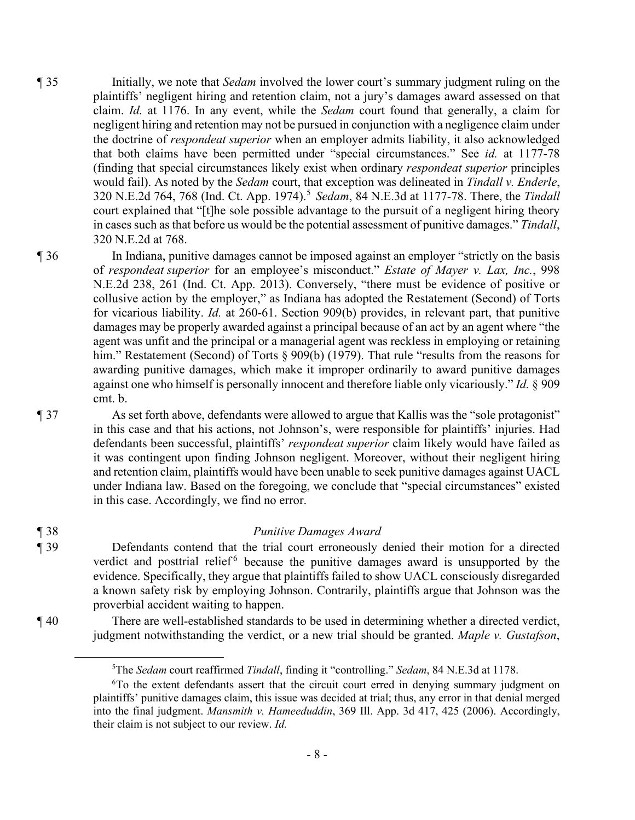- ¶ 35 Initially, we note that *Sedam* involved the lower court's summary judgment ruling on the plaintiffs' negligent hiring and retention claim, not a jury's damages award assessed on that claim. *Id.* at 1176. In any event, while the *Sedam* court found that generally, a claim for negligent hiring and retention may not be pursued in conjunction with a negligence claim under the doctrine of *respondeat superior* when an employer admits liability, it also acknowledged that both claims have been permitted under "special circumstances." See *id.* at 1177-78 (finding that special circumstances likely exist when ordinary *respondeat superior* principles would fail). As noted by the *Sedam* court, that exception was delineated in *Tindall v. Enderle*, 320 N.E.2d 764, 768 (Ind. Ct. App. 1974).<sup>5</sup> *Sedam*, 84 N.E.3d at 1177-78. There, the *Tindall* court explained that "[t]he sole possible advantage to the pursuit of a negligent hiring theory in cases such as that before us would be the potential assessment of punitive damages." *Tindall*, 320 N.E.2d at 768.
- ¶ 36 In Indiana, punitive damages cannot be imposed against an employer "strictly on the basis of *respondeat superior* for an employee's misconduct." *Estate of Mayer v. Lax, Inc.*, 998 N.E.2d 238, 261 (Ind. Ct. App. 2013). Conversely, "there must be evidence of positive or collusive action by the employer," as Indiana has adopted the Restatement (Second) of Torts for vicarious liability. *Id.* at 260-61. Section 909(b) provides, in relevant part, that punitive damages may be properly awarded against a principal because of an act by an agent where "the agent was unfit and the principal or a managerial agent was reckless in employing or retaining him." Restatement (Second) of Torts § 909(b) (1979). That rule "results from the reasons for awarding punitive damages, which make it improper ordinarily to award punitive damages against one who himself is personally innocent and therefore liable only vicariously." *Id.* § 909 cmt. b.

¶ 37 As set forth above, defendants were allowed to argue that Kallis was the "sole protagonist" in this case and that his actions, not Johnson's, were responsible for plaintiffs' injuries. Had defendants been successful, plaintiffs' *respondeat superior* claim likely would have failed as it was contingent upon finding Johnson negligent. Moreover, without their negligent hiring and retention claim, plaintiffs would have been unable to seek punitive damages against UACL under Indiana law. Based on the foregoing, we conclude that "special circumstances" existed in this case. Accordingly, we find no error.

### ¶ 38 *Punitive Damages Award*

¶ 39 Defendants contend that the trial court erroneously denied their motion for a directed verdict and posttrial relief<sup> $6$ </sup> because the punitive damages award is unsupported by the evidence. Specifically, they argue that plaintiffs failed to show UACL consciously disregarded a known safety risk by employing Johnson. Contrarily, plaintiffs argue that Johnson was the proverbial accident waiting to happen.

¶ 40 There are well-established standards to be used in determining whether a directed verdict, judgment notwithstanding the verdict, or a new trial should be granted. *Maple v. Gustafson*,

<sup>5</sup> The *Sedam* court reaffirmed *Tindall*, finding it "controlling." *Sedam*, 84 N.E.3d at 1178.

<sup>&</sup>lt;sup>6</sup>To the extent defendants assert that the circuit court erred in denying summary judgment on plaintiffs' punitive damages claim, this issue was decided at trial; thus, any error in that denial merged into the final judgment. *Mansmith v. Hameeduddin*, 369 Ill. App. 3d 417, 425 (2006). Accordingly, their claim is not subject to our review. *Id.*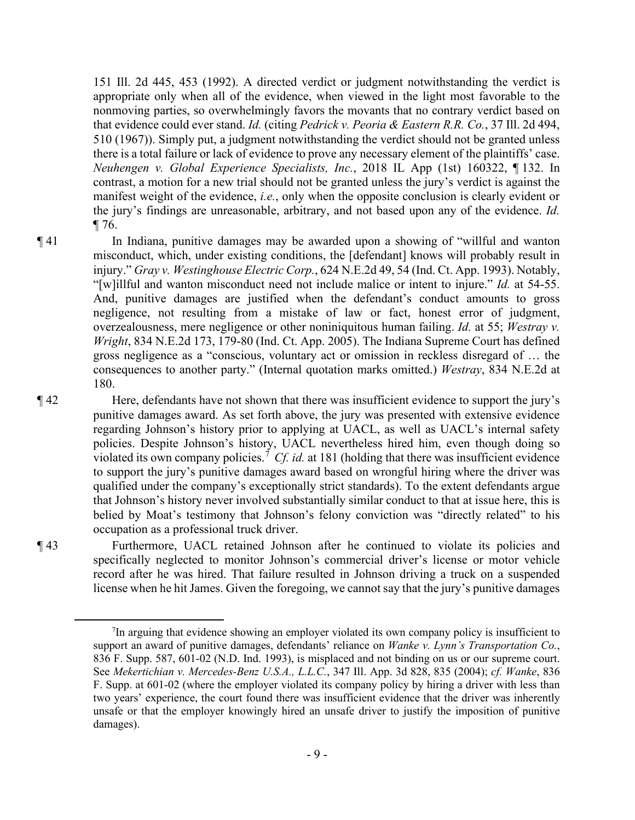151 Ill. 2d 445, 453 (1992). A directed verdict or judgment notwithstanding the verdict is appropriate only when all of the evidence, when viewed in the light most favorable to the nonmoving parties, so overwhelmingly favors the movants that no contrary verdict based on that evidence could ever stand. *Id.* (citing *Pedrick v. Peoria & Eastern R.R. Co.*, 37 Ill. 2d 494, 510 (1967)). Simply put, a judgment notwithstanding the verdict should not be granted unless there is a total failure or lack of evidence to prove any necessary element of the plaintiffs' case. *Neuhengen v. Global Experience Specialists, Inc.*, 2018 IL App (1st) 160322, ¶ 132. In contrast, a motion for a new trial should not be granted unless the jury's verdict is against the manifest weight of the evidence, *i.e.*, only when the opposite conclusion is clearly evident or the jury's findings are unreasonable, arbitrary, and not based upon any of the evidence. *Id.* ¶ 76.

¶ 41 In Indiana, punitive damages may be awarded upon a showing of "willful and wanton misconduct, which, under existing conditions, the [defendant] knows will probably result in injury." *Gray v. Westinghouse Electric Corp.*, 624 N.E.2d 49, 54 (Ind. Ct. App. 1993). Notably, "[w]illful and wanton misconduct need not include malice or intent to injure." *Id.* at 54-55. And, punitive damages are justified when the defendant's conduct amounts to gross negligence, not resulting from a mistake of law or fact, honest error of judgment, overzealousness, mere negligence or other noniniquitous human failing. *Id.* at 55; *Westray v. Wright*, 834 N.E.2d 173, 179-80 (Ind. Ct. App. 2005). The Indiana Supreme Court has defined gross negligence as a "conscious, voluntary act or omission in reckless disregard of … the consequences to another party." (Internal quotation marks omitted.) *Westray*, 834 N.E.2d at 180.

¶ 42 Here, defendants have not shown that there was insufficient evidence to support the jury's punitive damages award. As set forth above, the jury was presented with extensive evidence regarding Johnson's history prior to applying at UACL, as well as UACL's internal safety policies. Despite Johnson's history, UACL nevertheless hired him, even though doing so violated its own company policies.<sup>7</sup> *Cf. id.* at 181 (holding that there was insufficient evidence to support the jury's punitive damages award based on wrongful hiring where the driver was qualified under the company's exceptionally strict standards). To the extent defendants argue that Johnson's history never involved substantially similar conduct to that at issue here, this is belied by Moat's testimony that Johnson's felony conviction was "directly related" to his occupation as a professional truck driver.

¶ 43 Furthermore, UACL retained Johnson after he continued to violate its policies and specifically neglected to monitor Johnson's commercial driver's license or motor vehicle record after he was hired. That failure resulted in Johnson driving a truck on a suspended license when he hit James. Given the foregoing, we cannot say that the jury's punitive damages

<sup>&</sup>lt;sup>7</sup>In arguing that evidence showing an employer violated its own company policy is insufficient to support an award of punitive damages, defendants' reliance on *Wanke v. Lynn's Transportation Co.*, 836 F. Supp. 587, 601-02 (N.D. Ind. 1993), is misplaced and not binding on us or our supreme court. See *Mekertichian v. Mercedes-Benz U.S.A., L.L.C.*, 347 Ill. App. 3d 828, 835 (2004); *cf. Wanke*, 836 F. Supp. at 601-02 (where the employer violated its company policy by hiring a driver with less than two years' experience, the court found there was insufficient evidence that the driver was inherently unsafe or that the employer knowingly hired an unsafe driver to justify the imposition of punitive damages).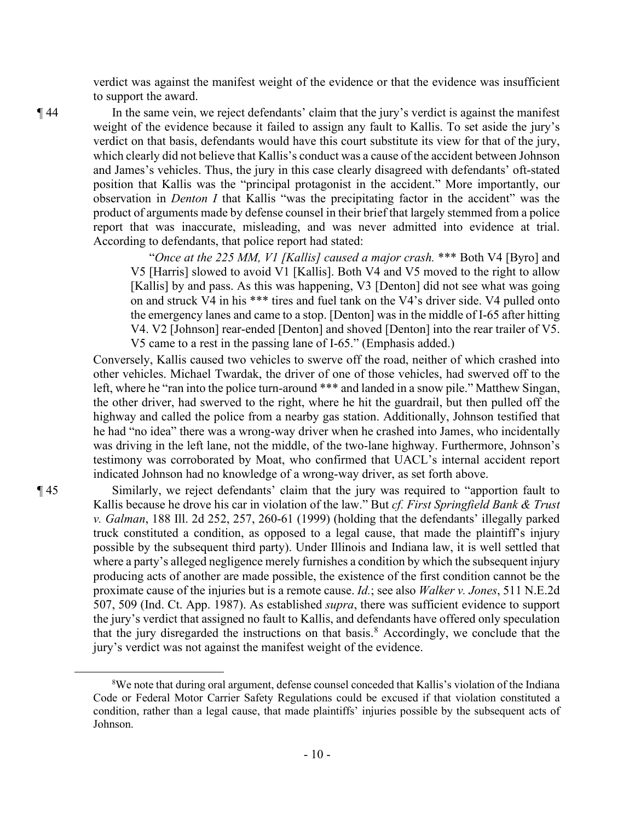verdict was against the manifest weight of the evidence or that the evidence was insufficient to support the award.

 $\P$  44 In the same vein, we reject defendants' claim that the jury's verdict is against the manifest weight of the evidence because it failed to assign any fault to Kallis. To set aside the jury's verdict on that basis, defendants would have this court substitute its view for that of the jury, which clearly did not believe that Kallis's conduct was a cause of the accident between Johnson and James's vehicles. Thus, the jury in this case clearly disagreed with defendants' oft-stated position that Kallis was the "principal protagonist in the accident." More importantly, our observation in *Denton I* that Kallis "was the precipitating factor in the accident" was the product of arguments made by defense counsel in their brief that largely stemmed from a police report that was inaccurate, misleading, and was never admitted into evidence at trial. According to defendants, that police report had stated:

> "*Once at the 225 MM, V1 [Kallis] caused a major crash.* \*\*\* Both V4 [Byro] and V5 [Harris] slowed to avoid V1 [Kallis]. Both V4 and V5 moved to the right to allow [Kallis] by and pass. As this was happening, V3 [Denton] did not see what was going on and struck V4 in his \*\*\* tires and fuel tank on the V4's driver side. V4 pulled onto the emergency lanes and came to a stop. [Denton] was in the middle of I-65 after hitting V4. V2 [Johnson] rear-ended [Denton] and shoved [Denton] into the rear trailer of V5. V5 came to a rest in the passing lane of I-65." (Emphasis added.)

Conversely, Kallis caused two vehicles to swerve off the road, neither of which crashed into other vehicles. Michael Twardak, the driver of one of those vehicles, had swerved off to the left, where he "ran into the police turn-around \*\*\* and landed in a snow pile." Matthew Singan, the other driver, had swerved to the right, where he hit the guardrail, but then pulled off the highway and called the police from a nearby gas station. Additionally, Johnson testified that he had "no idea" there was a wrong-way driver when he crashed into James, who incidentally was driving in the left lane, not the middle, of the two-lane highway. Furthermore, Johnson's testimony was corroborated by Moat, who confirmed that UACL's internal accident report indicated Johnson had no knowledge of a wrong-way driver, as set forth above.

¶ 45 Similarly, we reject defendants' claim that the jury was required to "apportion fault to Kallis because he drove his car in violation of the law." But *cf. First Springfield Bank & Trust v. Galman*, 188 Ill. 2d 252, 257, 260-61 (1999) (holding that the defendants' illegally parked truck constituted a condition, as opposed to a legal cause, that made the plaintiff's injury possible by the subsequent third party). Under Illinois and Indiana law, it is well settled that where a party's alleged negligence merely furnishes a condition by which the subsequent injury producing acts of another are made possible, the existence of the first condition cannot be the proximate cause of the injuries but is a remote cause. *Id.*; see also *Walker v. Jones*, 511 N.E.2d 507, 509 (Ind. Ct. App. 1987). As established *supra*, there was sufficient evidence to support the jury's verdict that assigned no fault to Kallis, and defendants have offered only speculation that the jury disregarded the instructions on that basis.<sup>8</sup> Accordingly, we conclude that the jury's verdict was not against the manifest weight of the evidence.

<sup>&</sup>lt;sup>8</sup>We note that during oral argument, defense counsel conceded that Kallis's violation of the Indiana Code or Federal Motor Carrier Safety Regulations could be excused if that violation constituted a condition, rather than a legal cause, that made plaintiffs' injuries possible by the subsequent acts of Johnson.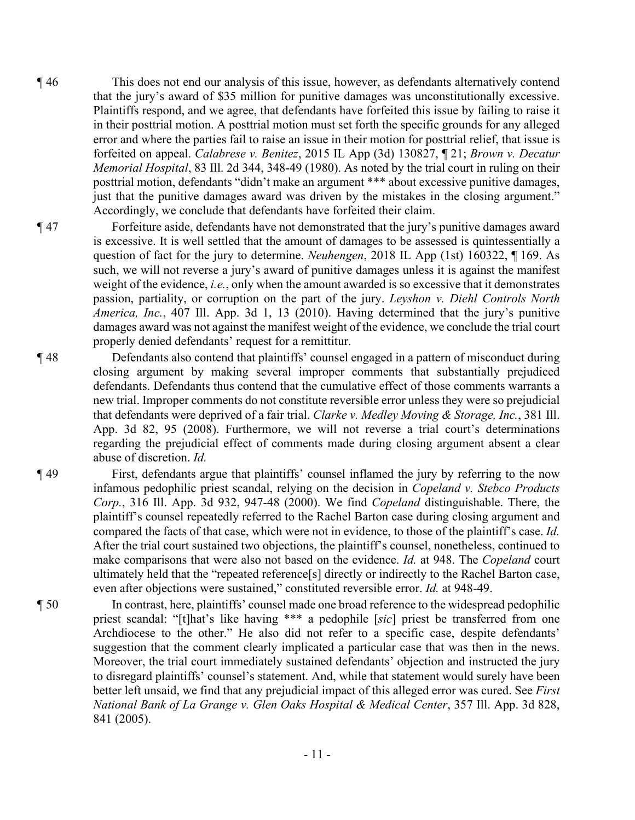- ¶ 46 This does not end our analysis of this issue, however, as defendants alternatively contend that the jury's award of \$35 million for punitive damages was unconstitutionally excessive. Plaintiffs respond, and we agree, that defendants have forfeited this issue by failing to raise it in their posttrial motion. A posttrial motion must set forth the specific grounds for any alleged error and where the parties fail to raise an issue in their motion for posttrial relief, that issue is forfeited on appeal. *Calabrese v. Benitez*, 2015 IL App (3d) 130827, ¶ 21; *Brown v. Decatur Memorial Hospital*, 83 Ill. 2d 344, 348-49 (1980). As noted by the trial court in ruling on their posttrial motion, defendants "didn't make an argument \*\*\* about excessive punitive damages, just that the punitive damages award was driven by the mistakes in the closing argument." Accordingly, we conclude that defendants have forfeited their claim.
- ¶ 47 Forfeiture aside, defendants have not demonstrated that the jury's punitive damages award is excessive. It is well settled that the amount of damages to be assessed is quintessentially a question of fact for the jury to determine. *Neuhengen*, 2018 IL App (1st) 160322, ¶ 169. As such, we will not reverse a jury's award of punitive damages unless it is against the manifest weight of the evidence, *i.e.*, only when the amount awarded is so excessive that it demonstrates passion, partiality, or corruption on the part of the jury. *Leyshon v. Diehl Controls North America, Inc.*, 407 Ill. App. 3d 1, 13 (2010). Having determined that the jury's punitive damages award was not against the manifest weight of the evidence, we conclude the trial court properly denied defendants' request for a remittitur.
- ¶ 48 Defendants also contend that plaintiffs' counsel engaged in a pattern of misconduct during closing argument by making several improper comments that substantially prejudiced defendants. Defendants thus contend that the cumulative effect of those comments warrants a new trial. Improper comments do not constitute reversible error unless they were so prejudicial that defendants were deprived of a fair trial. *Clarke v. Medley Moving & Storage, Inc.*, 381 Ill. App. 3d 82, 95 (2008). Furthermore, we will not reverse a trial court's determinations regarding the prejudicial effect of comments made during closing argument absent a clear abuse of discretion. *Id.*
- ¶ 49 First, defendants argue that plaintiffs' counsel inflamed the jury by referring to the now infamous pedophilic priest scandal, relying on the decision in *Copeland v. Stebco Products Corp.*, 316 Ill. App. 3d 932, 947-48 (2000). We find *Copeland* distinguishable. There, the plaintiff's counsel repeatedly referred to the Rachel Barton case during closing argument and compared the facts of that case, which were not in evidence, to those of the plaintiff's case. *Id.* After the trial court sustained two objections, the plaintiff's counsel, nonetheless, continued to make comparisons that were also not based on the evidence. *Id.* at 948. The *Copeland* court ultimately held that the "repeated reference[s] directly or indirectly to the Rachel Barton case, even after objections were sustained," constituted reversible error. *Id.* at 948-49.
- ¶ 50 In contrast, here, plaintiffs' counsel made one broad reference to the widespread pedophilic priest scandal: "[t]hat's like having \*\*\* a pedophile [*sic*] priest be transferred from one Archdiocese to the other." He also did not refer to a specific case, despite defendants' suggestion that the comment clearly implicated a particular case that was then in the news. Moreover, the trial court immediately sustained defendants' objection and instructed the jury to disregard plaintiffs' counsel's statement. And, while that statement would surely have been better left unsaid, we find that any prejudicial impact of this alleged error was cured. See *First National Bank of La Grange v. Glen Oaks Hospital & Medical Center*, 357 Ill. App. 3d 828, 841 (2005).